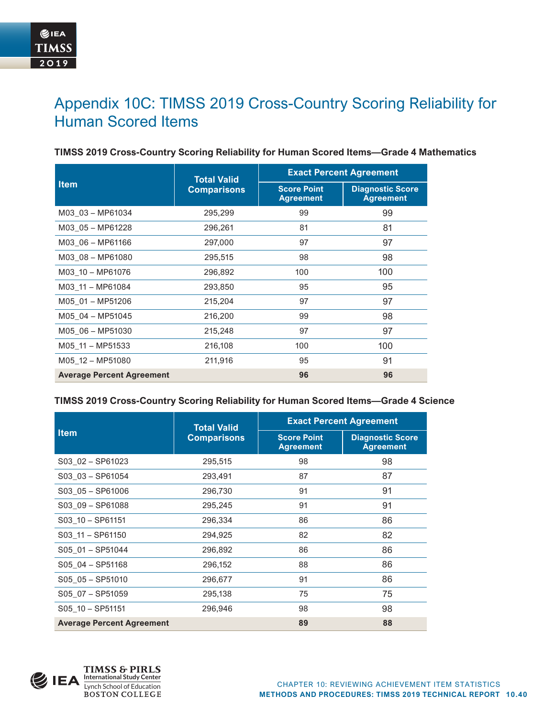# Appendix 10C: TIMSS 2019 Cross-Country Scoring Reliability for Human Scored Items

| <b>Item</b>                      | <b>Total Valid</b><br><b>Comparisons</b> | <b>Exact Percent Agreement</b>         |                                             |
|----------------------------------|------------------------------------------|----------------------------------------|---------------------------------------------|
|                                  |                                          | <b>Score Point</b><br><b>Agreement</b> | <b>Diagnostic Score</b><br><b>Agreement</b> |
| M03 03 - MP61034                 | 295,299                                  | 99                                     | 99                                          |
| M03 05 - MP61228                 | 296,261                                  | 81                                     | 81                                          |
| M03 06 - MP61166                 | 297,000                                  | 97                                     | 97                                          |
| M03 08 - MP61080                 | 295,515                                  | 98                                     | 98                                          |
| M03 10 - MP61076                 | 296,892                                  | 100                                    | 100                                         |
| M03 11 - MP61084                 | 293,850                                  | 95                                     | 95                                          |
| M05 01 - MP51206                 | 215,204                                  | 97                                     | 97                                          |
| M05 04 - MP51045                 | 216,200                                  | 99                                     | 98                                          |
| M05_06 - MP51030                 | 215,248                                  | 97                                     | 97                                          |
| M05 11 - MP51533                 | 216,108                                  | 100                                    | 100                                         |
| M05 12 - MP51080                 | 211,916                                  | 95                                     | 91                                          |
| <b>Average Percent Agreement</b> |                                          | 96                                     | 96                                          |

#### **TIMSS 2019 Cross-Country Scoring Reliability for Human Scored Items—Grade 4 Mathematics**

#### **TIMSS 2019 Cross-Country Scoring Reliability for Human Scored Items—Grade 4 Science**

| <b>Item</b>                      | <b>Total Valid</b><br><b>Comparisons</b> | <b>Exact Percent Agreement</b>         |                                             |
|----------------------------------|------------------------------------------|----------------------------------------|---------------------------------------------|
|                                  |                                          | <b>Score Point</b><br><b>Agreement</b> | <b>Diagnostic Score</b><br><b>Agreement</b> |
| $S03$ $02 - SP61023$             | 295,515                                  | 98                                     | 98                                          |
| $S03$ $03 - SP61054$             | 293,491                                  | 87                                     | 87                                          |
| $S03$ $05 - SP61006$             | 296,730                                  | 91                                     | 91                                          |
| S03_09 - SP61088                 | 295,245                                  | 91                                     | 91                                          |
| S03 10 - SP61151                 | 296,334                                  | 86                                     | 86                                          |
| S03 11 - SP61150                 | 294,925                                  | 82                                     | 82                                          |
| S05 01 - SP51044                 | 296,892                                  | 86                                     | 86                                          |
| $S05$ 04 - SP51168               | 296,152                                  | 88                                     | 86                                          |
| $S05$ $05 - SP51010$             | 296,677                                  | 91                                     | 86                                          |
| $S05$ $07 - SP51059$             | 295,138                                  | 75                                     | 75                                          |
| S05 10 - SP51151                 | 296,946                                  | 98                                     | 98                                          |
| <b>Average Percent Agreement</b> |                                          | 89                                     | 88                                          |